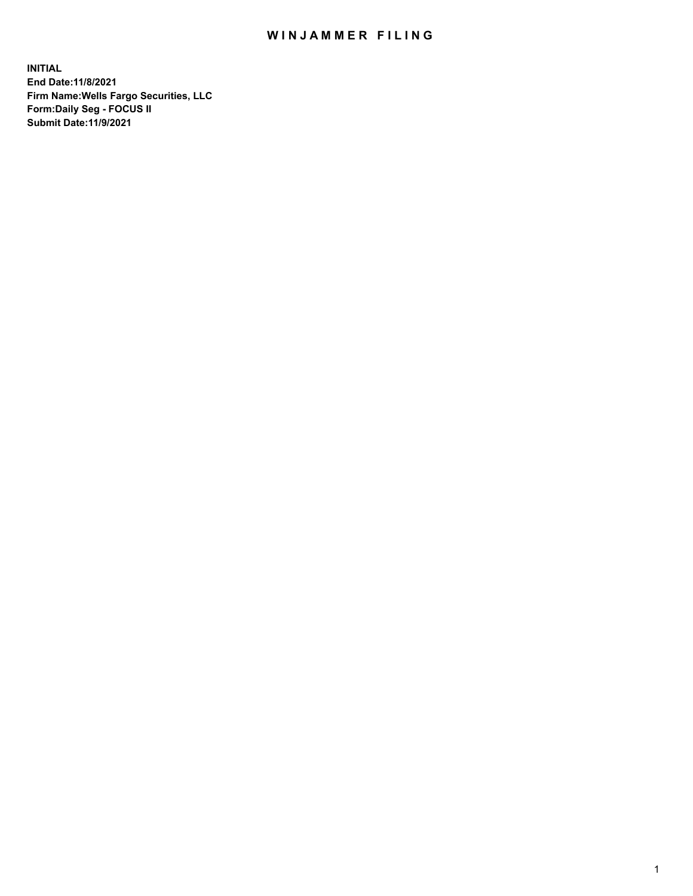## WIN JAMMER FILING

**INITIAL End Date:11/8/2021 Firm Name:Wells Fargo Securities, LLC Form:Daily Seg - FOCUS II Submit Date:11/9/2021**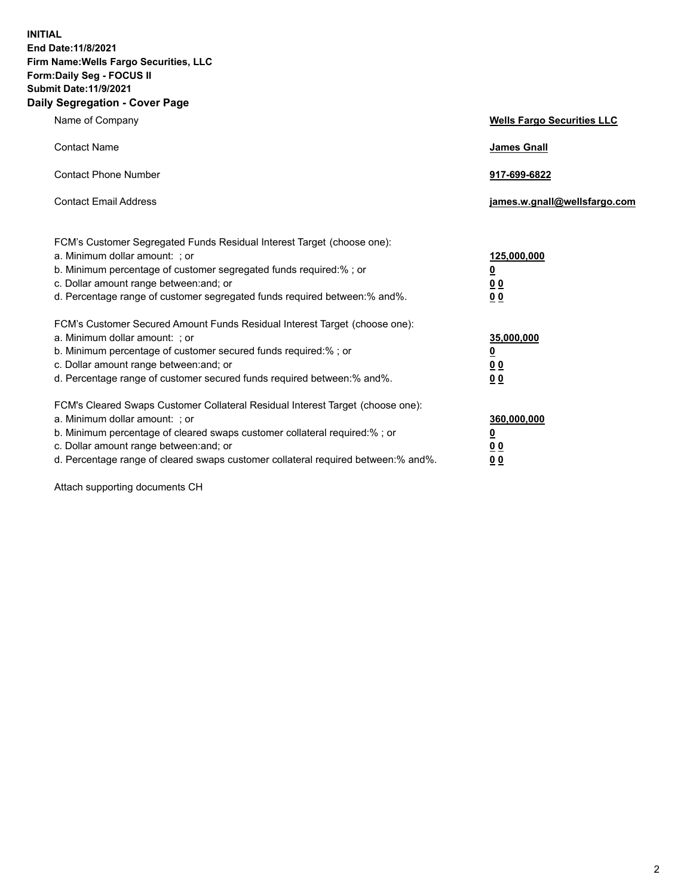**INITIAL End Date:11/8/2021 Firm Name:Wells Fargo Securities, LLC Form:Daily Seg - FOCUS II Submit Date:11/9/2021 Daily Segregation - Cover Page**

| Name of Company                                                                                                                                                                                                                                                                                                                | <b>Wells Fargo Securities LLC</b>                           |
|--------------------------------------------------------------------------------------------------------------------------------------------------------------------------------------------------------------------------------------------------------------------------------------------------------------------------------|-------------------------------------------------------------|
| <b>Contact Name</b>                                                                                                                                                                                                                                                                                                            | <b>James Gnall</b>                                          |
| <b>Contact Phone Number</b>                                                                                                                                                                                                                                                                                                    | 917-699-6822                                                |
| <b>Contact Email Address</b>                                                                                                                                                                                                                                                                                                   | james.w.gnall@wellsfargo.com                                |
| FCM's Customer Segregated Funds Residual Interest Target (choose one):<br>a. Minimum dollar amount: ; or<br>b. Minimum percentage of customer segregated funds required:% ; or<br>c. Dollar amount range between: and; or<br>d. Percentage range of customer segregated funds required between: % and %.                       | 125,000,000<br><u>0</u><br>0 <sub>0</sub><br>0 <sub>0</sub> |
| FCM's Customer Secured Amount Funds Residual Interest Target (choose one):<br>a. Minimum dollar amount: ; or<br>b. Minimum percentage of customer secured funds required:%; or<br>c. Dollar amount range between: and; or<br>d. Percentage range of customer secured funds required between: % and %.                          | 35,000,000<br><u>0</u><br>00<br>0 <sub>0</sub>              |
| FCM's Cleared Swaps Customer Collateral Residual Interest Target (choose one):<br>a. Minimum dollar amount: ; or<br>b. Minimum percentage of cleared swaps customer collateral required:% ; or<br>c. Dollar amount range between: and; or<br>d. Percentage range of cleared swaps customer collateral required between:% and%. | 360,000,000<br><u>0</u><br>00<br>00                         |

Attach supporting documents CH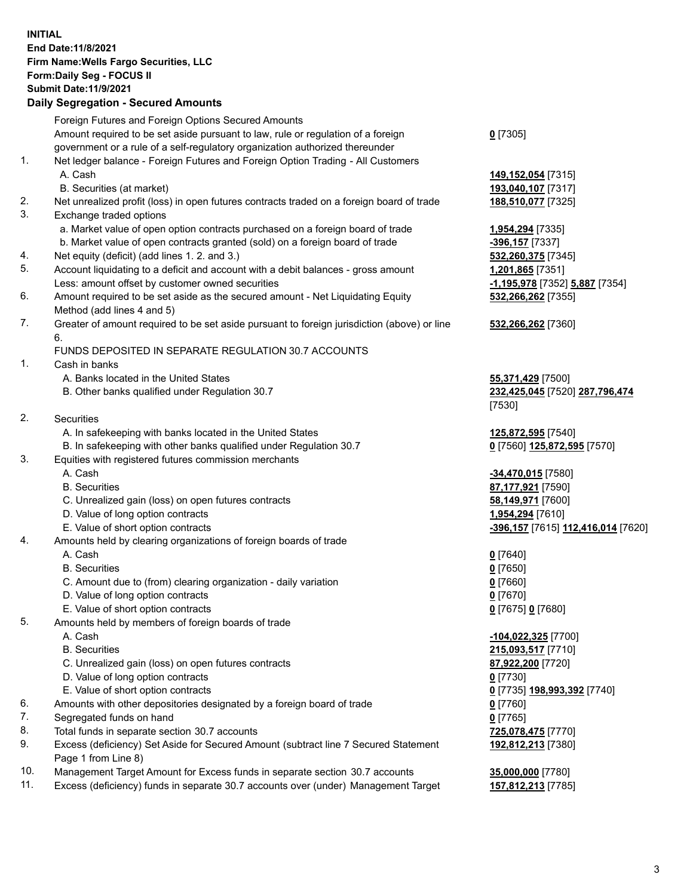**INITIAL End Date:11/8/2021 Firm Name:Wells Fargo Securities, LLC Form:Daily Seg - FOCUS II Submit Date:11/9/2021**

## **Daily Segregation - Secured Amounts**

|    | Foreign Futures and Foreign Options Secured Amounts                                                        |                                    |
|----|------------------------------------------------------------------------------------------------------------|------------------------------------|
|    | Amount required to be set aside pursuant to law, rule or regulation of a foreign                           | $0$ [7305]                         |
|    | government or a rule of a self-regulatory organization authorized thereunder                               |                                    |
| 1. | Net ledger balance - Foreign Futures and Foreign Option Trading - All Customers                            |                                    |
|    | A. Cash                                                                                                    | 149,152,054 [7315]                 |
|    | B. Securities (at market)                                                                                  | 193,040,107 [7317]                 |
| 2. | Net unrealized profit (loss) in open futures contracts traded on a foreign board of trade                  | 188,510,077 [7325]                 |
| 3. | Exchange traded options                                                                                    |                                    |
|    | a. Market value of open option contracts purchased on a foreign board of trade                             | 1,954,294 [7335]                   |
|    | b. Market value of open contracts granted (sold) on a foreign board of trade                               | -396,157 [7337]                    |
| 4. | Net equity (deficit) (add lines 1. 2. and 3.)                                                              | 532,260,375 [7345]                 |
| 5. | Account liquidating to a deficit and account with a debit balances - gross amount                          | 1,201,865 [7351]                   |
|    | Less: amount offset by customer owned securities                                                           | -1,195,978 [7352] 5,887 [7354]     |
| 6. | Amount required to be set aside as the secured amount - Net Liquidating Equity                             | 532,266,262 [7355]                 |
|    | Method (add lines 4 and 5)                                                                                 |                                    |
| 7. | Greater of amount required to be set aside pursuant to foreign jurisdiction (above) or line                | 532,266,262 [7360]                 |
|    | 6.                                                                                                         |                                    |
|    | FUNDS DEPOSITED IN SEPARATE REGULATION 30.7 ACCOUNTS                                                       |                                    |
| 1. | Cash in banks                                                                                              |                                    |
|    | A. Banks located in the United States                                                                      | 55,371,429 [7500]                  |
|    | B. Other banks qualified under Regulation 30.7                                                             | 232,425,045 [7520] 287,796,474     |
|    |                                                                                                            | [7530]                             |
| 2. | Securities                                                                                                 |                                    |
|    | A. In safekeeping with banks located in the United States                                                  | 125,872,595 [7540]                 |
|    | B. In safekeeping with other banks qualified under Regulation 30.7                                         | 0 [7560] 125,872,595 [7570]        |
| 3. | Equities with registered futures commission merchants                                                      |                                    |
|    | A. Cash                                                                                                    | -34,470,015 [7580]                 |
|    | <b>B.</b> Securities                                                                                       | 87,177,921 [7590]                  |
|    | C. Unrealized gain (loss) on open futures contracts                                                        | 58,149,971 [7600]                  |
|    | D. Value of long option contracts                                                                          | 1,954,294 [7610]                   |
|    | E. Value of short option contracts                                                                         | -396,157 [7615] 112,416,014 [7620] |
| 4. | Amounts held by clearing organizations of foreign boards of trade                                          |                                    |
|    | A. Cash                                                                                                    | $0$ [7640]                         |
|    | <b>B.</b> Securities                                                                                       | $0$ [7650]                         |
|    | C. Amount due to (from) clearing organization - daily variation                                            | $0$ [7660]                         |
|    | D. Value of long option contracts                                                                          | $0$ [7670]                         |
|    | E. Value of short option contracts                                                                         | 0 [7675] 0 [7680]                  |
| 5. | Amounts held by members of foreign boards of trade                                                         |                                    |
|    | A. Cash                                                                                                    | -104,022,325 [7700]                |
|    | <b>B.</b> Securities                                                                                       | 215,093,517 [7710]                 |
|    | C. Unrealized gain (loss) on open futures contracts                                                        | 87,922,200 [7720]                  |
|    | D. Value of long option contracts                                                                          | $0$ [7730]                         |
|    | E. Value of short option contracts                                                                         | 0 [7735] 198,993,392 [7740]        |
| 6. | Amounts with other depositories designated by a foreign board of trade                                     | 0 [7760]                           |
| 7. | Segregated funds on hand                                                                                   | $0$ [7765]                         |
| 8. | Total funds in separate section 30.7 accounts                                                              | 725,078,475 [7770]                 |
| 9. | Excess (deficiency) Set Aside for Secured Amount (subtract line 7 Secured Statement<br>Page 1 from Line 8) | 192,812,213 [7380]                 |

- 10. Management Target Amount for Excess funds in separate section 30.7 accounts **35,000,000** [7780]
- 11. Excess (deficiency) funds in separate 30.7 accounts over (under) Management Target **157,812,213** [7785]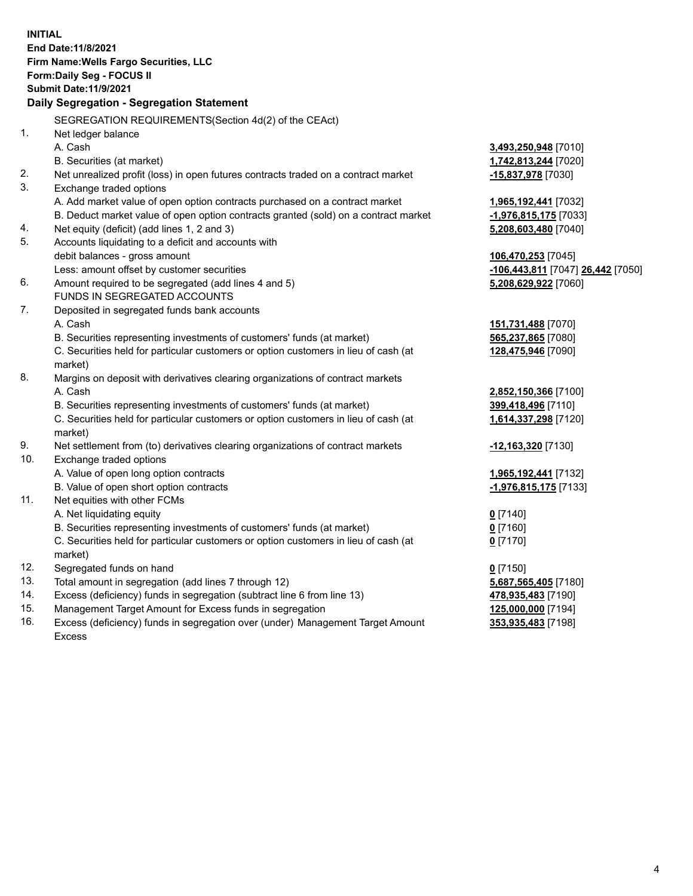**INITIAL End Date:11/8/2021 Firm Name:Wells Fargo Securities, LLC Form:Daily Seg - FOCUS II Submit Date:11/9/2021 Daily Segregation - Segregation Statement** SEGREGATION REQUIREMENTS(Section 4d(2) of the CEAct) 1. Net ledger balance A. Cash **3,493,250,948** [7010] B. Securities (at market) **1,742,813,244** [7020] 2. Net unrealized profit (loss) in open futures contracts traded on a contract market **-15,837,978** [7030] 3. Exchange traded options A. Add market value of open option contracts purchased on a contract market **1,965,192,441** [7032] B. Deduct market value of open option contracts granted (sold) on a contract market **-1,976,815,175** [7033] 4. Net equity (deficit) (add lines 1, 2 and 3) **5,208,603,480** [7040] 5. Accounts liquidating to a deficit and accounts with debit balances - gross amount **106,470,253** [7045] Less: amount offset by customer securities **-106,443,811** [7047] **26,442** [7050] 6. Amount required to be segregated (add lines 4 and 5) **5,208,629,922** [7060] FUNDS IN SEGREGATED ACCOUNTS 7. Deposited in segregated funds bank accounts A. Cash **151,731,488** [7070] B. Securities representing investments of customers' funds (at market) **565,237,865** [7080] C. Securities held for particular customers or option customers in lieu of cash (at market) **128,475,946** [7090] 8. Margins on deposit with derivatives clearing organizations of contract markets A. Cash **2,852,150,366** [7100] B. Securities representing investments of customers' funds (at market) **399,418,496** [7110] C. Securities held for particular customers or option customers in lieu of cash (at market) **1,614,337,298** [7120] 9. Net settlement from (to) derivatives clearing organizations of contract markets **-12,163,320** [7130] 10. Exchange traded options A. Value of open long option contracts **1,965,192,441** [7132] B. Value of open short option contracts **-1,976,815,175** [7133] 11. Net equities with other FCMs A. Net liquidating equity **0** [7140] B. Securities representing investments of customers' funds (at market) **0** [7160] C. Securities held for particular customers or option customers in lieu of cash (at market) **0** [7170] 12. Segregated funds on hand **0** [7150] 13. Total amount in segregation (add lines 7 through 12) **5,687,565,405** [7180] 14. Excess (deficiency) funds in segregation (subtract line 6 from line 13) **478,935,483** [7190] 15. Management Target Amount for Excess funds in segregation **125,000,000** [7194] 16. Excess (deficiency) funds in segregation over (under) Management Target Amount **353,935,483** [7198]

Excess